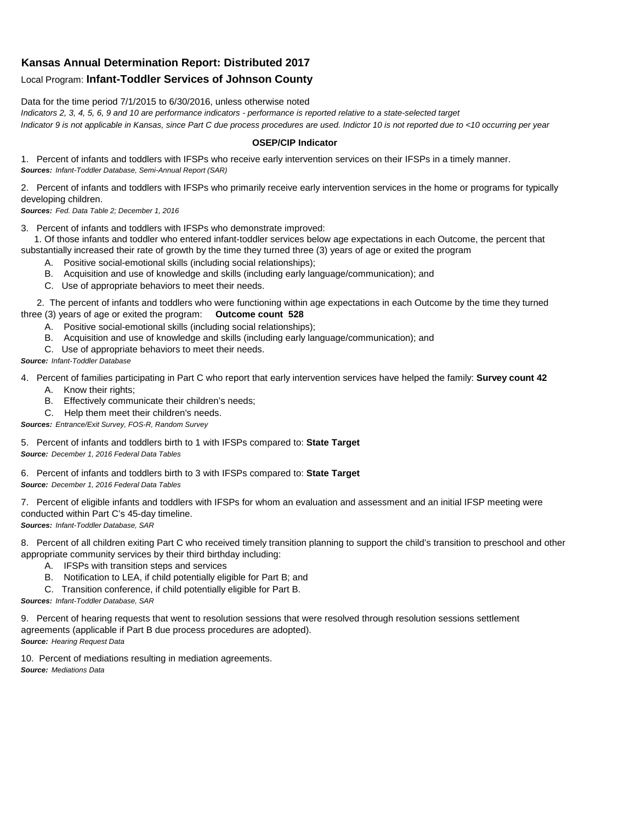## **Kansas Annual Determination Report: Distributed 2017**

## Local Program: **Infant-Toddler Services of Johnson County**

Data for the time period 7/1/2015 to 6/30/2016, unless otherwise noted

*Indicators 2, 3, 4, 5, 6, 9 and 10 are performance indicators - performance is reported relative to a state-selected target Indicator 9 is not applicable in Kansas, since Part C due process procedures are used. Indictor 10 is not reported due to <10 occurring per year*

## **OSEP/CIP Indicator**

1. Percent of infants and toddlers with IFSPs who receive early intervention services on their IFSPs in a timely manner. *Sources: Infant-Toddler Database, Semi-Annual Report (SAR)* 

2. Percent of infants and toddlers with IFSPs who primarily receive early intervention services in the home or programs for typically developing children.

*Sources: Fed. Data Table 2; December 1, 2016*

3. Percent of infants and toddlers with IFSPs who demonstrate improved:

 1. Of those infants and toddler who entered infant-toddler services below age expectations in each Outcome, the percent that substantially increased their rate of growth by the time they turned three (3) years of age or exited the program

- A. Positive social-emotional skills (including social relationships);
- B. Acquisition and use of knowledge and skills (including early language/communication); and
- C. Use of appropriate behaviors to meet their needs.

 2. The percent of infants and toddlers who were functioning within age expectations in each Outcome by the time they turned three (3) years of age or exited the program: **Outcome count 528**

- A. Positive social-emotional skills (including social relationships);
- B. Acquisition and use of knowledge and skills (including early language/communication); and
- C. Use of appropriate behaviors to meet their needs.

## *Source: Infant-Toddler Database*

4. Percent of families participating in Part C who report that early intervention services have helped the family: **Survey count 42**

- A. Know their rights;
- B. Effectively communicate their children's needs;
- C. Help them meet their children's needs.
- *Sources: Entrance/Exit Survey, FOS-R, Random Survey*

5. Percent of infants and toddlers birth to 1 with IFSPs compared to: **State Target** *Source: December 1, 2016 Federal Data Tables*

6. Percent of infants and toddlers birth to 3 with IFSPs compared to: **State Target** *Source: December 1, 2016 Federal Data Tables*

7. Percent of eligible infants and toddlers with IFSPs for whom an evaluation and assessment and an initial IFSP meeting were conducted within Part C's 45-day timeline.

*Sources: Infant-Toddler Database, SAR*

8. Percent of all children exiting Part C who received timely transition planning to support the child's transition to preschool and other appropriate community services by their third birthday including:

- A. IFSPs with transition steps and services
- B. Notification to LEA, if child potentially eligible for Part B; and
- C. Transition conference, if child potentially eligible for Part B.

*Sources: Infant-Toddler Database, SAR*

9. Percent of hearing requests that went to resolution sessions that were resolved through resolution sessions settlement agreements (applicable if Part B due process procedures are adopted). *Source: Hearing Request Data*

10. Percent of mediations resulting in mediation agreements. *Source: Mediations Data*